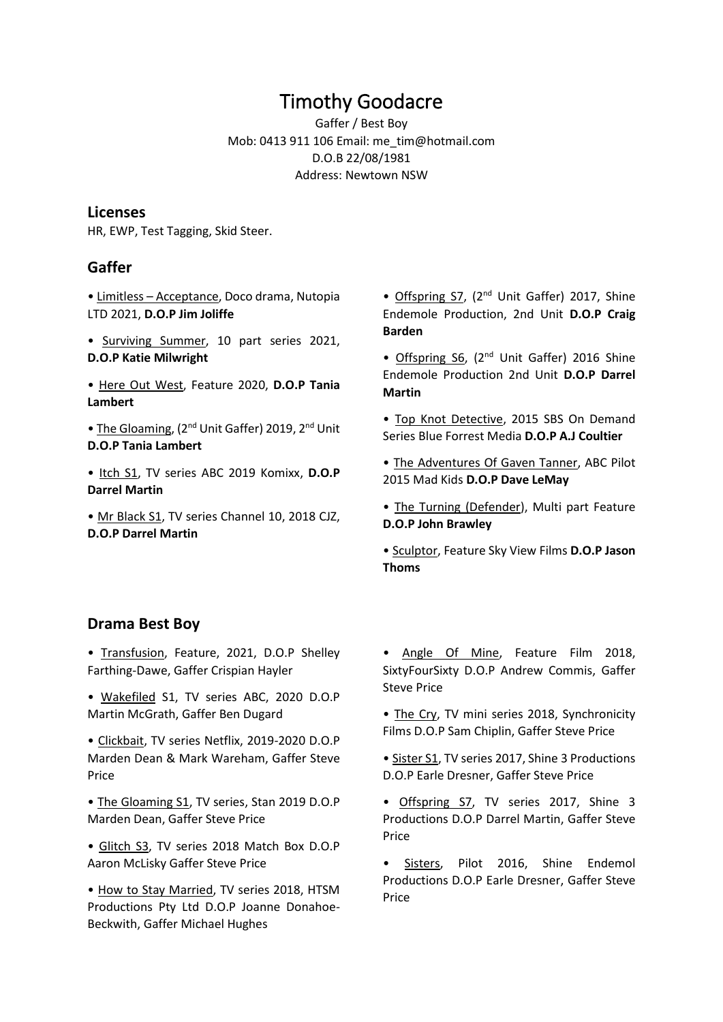# Timothy Goodacre

Gaffer / Best Boy Mob: 0413 911 106 Email: me\_tim@hotmail.com D.O.B 22/08/1981 Address: Newtown NSW

#### **Licenses**

HR, EWP, Test Tagging, Skid Steer.

## **Gaffer**

• Limitless – Acceptance, Doco drama, Nutopia LTD 2021, **D.O.P Jim Joliffe**

- Surviving Summer, 10 part series 2021, **D.O.P Katie Milwright**
- Here Out West, Feature 2020, **D.O.P Tania Lambert**

• The Gloaming, (2<sup>nd</sup> Unit Gaffer) 2019, 2<sup>nd</sup> Unit **D.O.P Tania Lambert**

• Itch S1, TV series ABC 2019 Komixx, **D.O.P Darrel Martin** 

• Mr Black S1, TV series Channel 10, 2018 CJZ, **D.O.P Darrel Martin**

• Offspring S7, (2<sup>nd</sup> Unit Gaffer) 2017, Shine Endemole Production, 2nd Unit **D.O.P Craig Barden** 

• Offspring S6, (2<sup>nd</sup> Unit Gaffer) 2016 Shine Endemole Production 2nd Unit **D.O.P Darrel Martin** 

- Top Knot Detective, 2015 SBS On Demand Series Blue Forrest Media **D.O.P A.J Coultier**
- The Adventures Of Gaven Tanner, ABC Pilot 2015 Mad Kids **D.O.P Dave LeMay**
- The Turning (Defender), Multi part Feature **D.O.P John Brawley**

• Sculptor, Feature Sky View Films **D.O.P Jason Thoms** 

#### **Drama Best Boy**

• Transfusion, Feature, 2021, D.O.P Shelley Farthing-Dawe, Gaffer Crispian Hayler

• Wakefiled S1, TV series ABC, 2020 D.O.P Martin McGrath, Gaffer Ben Dugard

• Clickbait, TV series Netflix, 2019-2020 D.O.P Marden Dean & Mark Wareham, Gaffer Steve Price

• The Gloaming S1, TV series, Stan 2019 D.O.P Marden Dean, Gaffer Steve Price

• Glitch S3, TV series 2018 Match Box D.O.P Aaron McLisky Gaffer Steve Price

• How to Stay Married, TV series 2018, HTSM Productions Pty Ltd D.O.P Joanne Donahoe-Beckwith, Gaffer Michael Hughes

• Angle Of Mine, Feature Film 2018, SixtyFourSixty D.O.P Andrew Commis, Gaffer Steve Price

- The Cry, TV mini series 2018, Synchronicity Films D.O.P Sam Chiplin, Gaffer Steve Price
- Sister S1, TV series 2017, Shine 3 Productions D.O.P Earle Dresner, Gaffer Steve Price

• Offspring S7, TV series 2017, Shine 3 Productions D.O.P Darrel Martin, Gaffer Steve Price

• Sisters, Pilot 2016, Shine Endemol Productions D.O.P Earle Dresner, Gaffer Steve Price